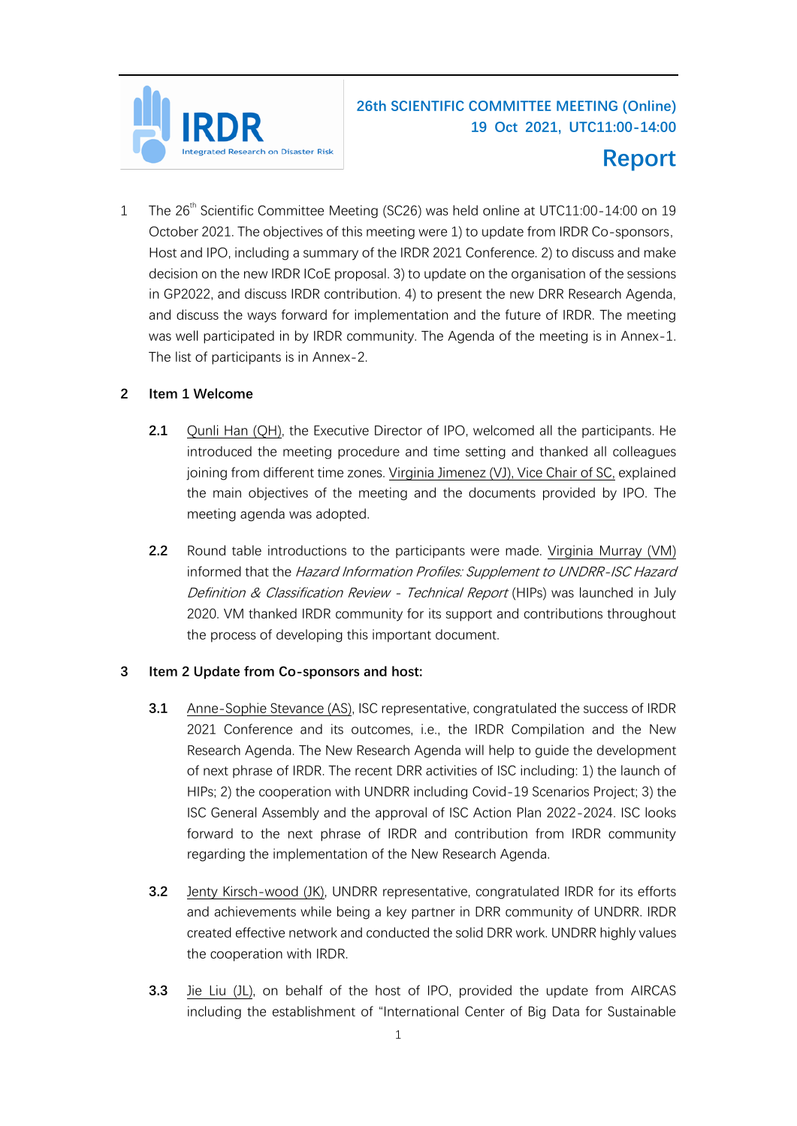

## **26th SCIENTIFIC COMMITTEE MEETING (Online) 19 Oct 2021, UTC11:00-14:00**

# **Report**

1 The 26<sup>th</sup> Scientific Committee Meeting (SC26) was held online at UTC11:00-14:00 on 19 October 2021. The objectives of this meeting were 1) to update from IRDR Co-sponsors, Host and IPO, including a summary of the IRDR 2021 Conference. 2) to discuss and make decision on the new IRDR ICoE proposal. 3) to update on the organisation of the sessions in GP2022, and discuss IRDR contribution. 4) to present the new DRR Research Agenda, and discuss the ways forward for implementation and the future of IRDR. The meeting was well participated in by IRDR community. The Agenda of the meeting is in Annex-1. The list of participants is in Annex-2.

## **2 Item 1 Welcome**

- **2.1** Qunli Han (QH), the Executive Director of IPO, welcomed all the participants. He introduced the meeting procedure and time setting and thanked all colleagues joining from different time zones. Virginia Jimenez (VJ), Vice Chair of SC, explained the main objectives of the meeting and the documents provided by IPO. The meeting agenda was adopted.
- **2.2** Round table introductions to the participants were made. Virginia Murray (VM) informed that the Hazard Information Profiles: Supplement to UNDRR-ISC Hazard Definition & Classification Review - Technical Report (HIPs) was launched in July 2020. VM thanked IRDR community for its support and contributions throughout the process of developing this important document.

## **3 Item 2 Update from Co-sponsors and host:**

- **3.1** Anne-Sophie Stevance (AS), ISC representative, congratulated the success of IRDR 2021 Conference and its outcomes, i.e., the IRDR Compilation and the New Research Agenda. The New Research Agenda will help to guide the development of next phrase of IRDR. The recent DRR activities of ISC including: 1) the launch of HIPs; 2) the cooperation with UNDRR including Covid-19 Scenarios Project; 3) the ISC General Assembly and the approval of ISC Action Plan 2022-2024. ISC looks forward to the next phrase of IRDR and contribution from IRDR community regarding the implementation of the New Research Agenda.
- **3.2** Jenty Kirsch-wood (JK), UNDRR representative, congratulated IRDR for its efforts and achievements while being a key partner in DRR community of UNDRR. IRDR created effective network and conducted the solid DRR work. UNDRR highly values the cooperation with IRDR.
- **3.3** Jie Liu (JL), on behalf of the host of IPO, provided the update from AIRCAS including the establishment of "International Center of Big Data for Sustainable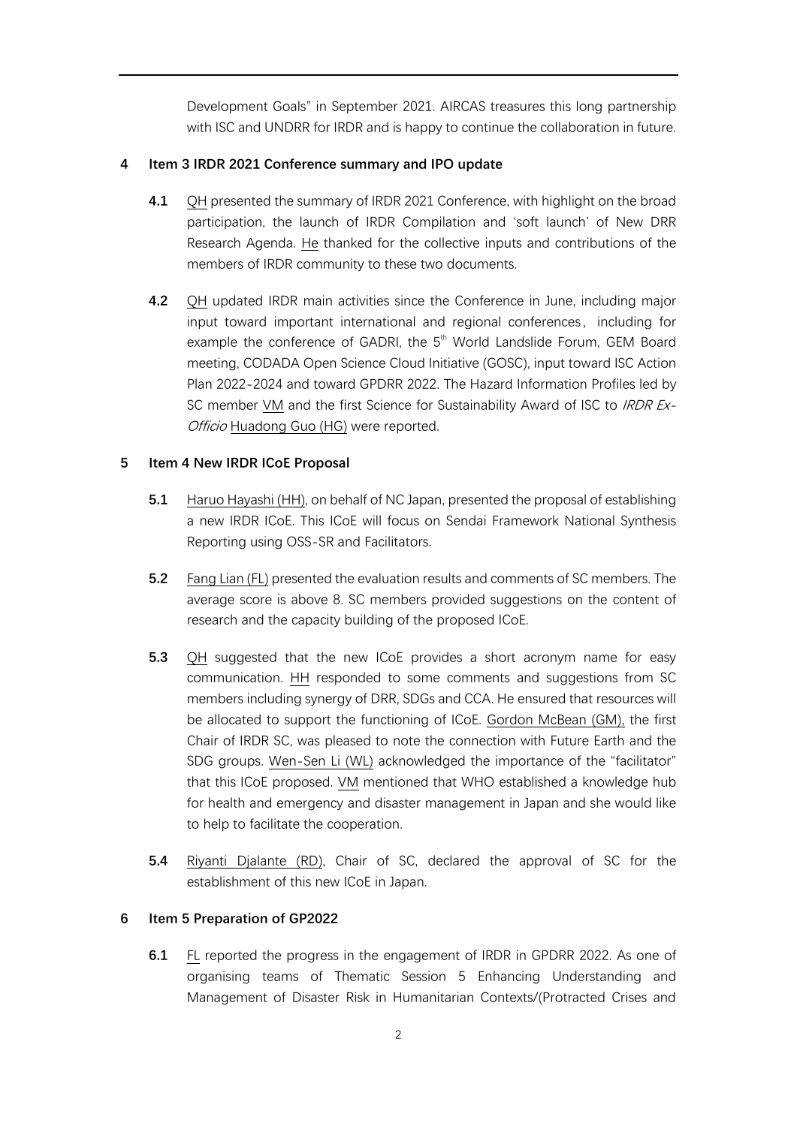Development Goals" in September 2021. AIRCAS treasures this long partnership with ISC and UNDRR for IRDR and is happy to continue the collaboration in future.

## **4 Item 3 IRDR 2021 Conference summary and IPO update**

- **4.1** QH presented the summary of IRDR 2021 Conference, with highlight on the broad participation, the launch of IRDR Compilation and 'soft launch' of New DRR Research Agenda. He thanked for the collective inputs and contributions of the members of IRDR community to these two documents.
- **4.2** QH updated IRDR main activities since the Conference in June, including major input toward important international and regional conferences, including for example the conference of GADRI, the  $5<sup>th</sup>$  World Landslide Forum, GEM Board meeting, CODADA Open Science Cloud Initiative (GOSC), input toward ISC Action Plan 2022-2024 and toward GPDRR 2022. The Hazard Information Profiles led by SC member VM and the first Science for Sustainability Award of ISC to *IRDR Ex-*Officio Huadong Guo (HG) were reported.

## **5 Item 4 New IRDR ICoE Proposal**

- **5.1** Haruo Hayashi (HH), on behalf of NC Japan, presented the proposal of establishing a new IRDR ICoE. This ICoE will focus on Sendai Framework National Synthesis Reporting using OSS-SR and Facilitators.
- **5.2** Fang Lian (FL) presented the evaluation results and comments of SC members. The average score is above 8. SC members provided suggestions on the content of research and the capacity building of the proposed ICoE.
- **5.3** QH suggested that the new ICoE provides a short acronym name for easy communication. HH responded to some comments and suggestions from SC members including synergy of DRR, SDGs and CCA. He ensured that resources will be allocated to support the functioning of ICoE. Gordon McBean (GM), the first Chair of IRDR SC, was pleased to note the connection with Future Earth and the SDG groups. Wen-Sen Li (WL) acknowledged the importance of the "facilitator" that this ICoE proposed. VM mentioned that WHO established a knowledge hub for health and emergency and disaster management in Japan and she would like to help to facilitate the cooperation.
- **5.4** Riyanti Djalante (RD), Chair of SC, declared the approval of SC for the establishment of this new ICoE in Japan.

## **6 Item 5 Preparation of GP2022**

**6.1** FL reported the progress in the engagement of IRDR in GPDRR 2022. As one of organising teams of Thematic Session 5 Enhancing Understanding and Management of Disaster Risk in Humanitarian Contexts/(Protracted Crises and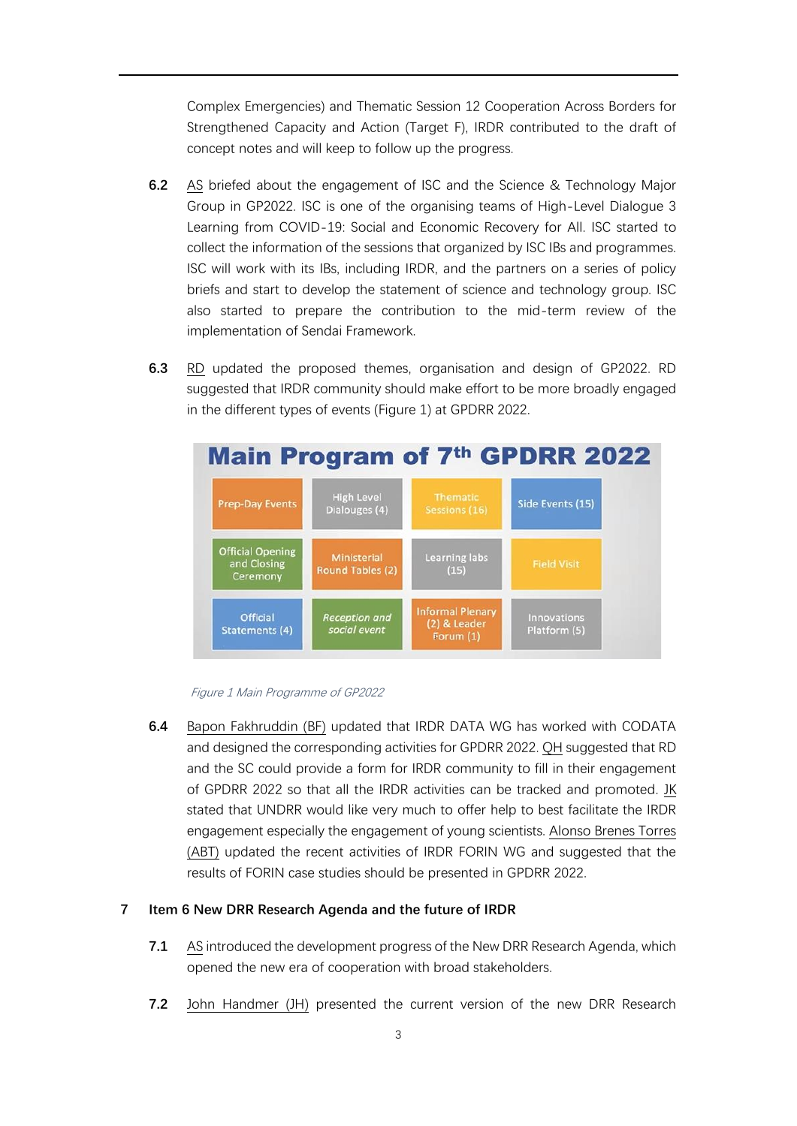Complex Emergencies) and Thematic Session 12 Cooperation Across Borders for Strengthened Capacity and Action (Target F), IRDR contributed to the draft of concept notes and will keep to follow up the progress.

- **6.2** AS briefed about the engagement of ISC and the Science & Technology Major Group in GP2022. ISC is one of the organising teams of High-Level Dialogue 3 Learning from COVID-19: Social and Economic Recovery for All. ISC started to collect the information of the sessions that organized by ISC IBs and programmes. ISC will work with its IBs, including IRDR, and the partners on a series of policy briefs and start to develop the statement of science and technology group. ISC also started to prepare the contribution to the mid-term review of the implementation of Sendai Framework.
- **6.3** RD updated the proposed themes, organisation and design of GP2022. RD suggested that IRDR community should make effort to be more broadly engaged in the different types of events [\(Figure 1\)](#page-2-0) at GPDRR 2022.





<span id="page-2-0"></span>**6.4** Bapon Fakhruddin (BF) updated that IRDR DATA WG has worked with CODATA and designed the corresponding activities for GPDRR 2022. QH suggested that RD and the SC could provide a form for IRDR community to fill in their engagement of GPDRR 2022 so that all the IRDR activities can be tracked and promoted. JK stated that UNDRR would like very much to offer help to best facilitate the IRDR engagement especially the engagement of young scientists. Alonso Brenes Torres (ABT) updated the recent activities of IRDR FORIN WG and suggested that the results of FORIN case studies should be presented in GPDRR 2022.

#### **7 Item 6 New DRR Research Agenda and the future of IRDR**

- **7.1** AS introduced the development progress of the New DRR Research Agenda, which opened the new era of cooperation with broad stakeholders.
- **7.2** John Handmer (JH) presented the current version of the new DRR Research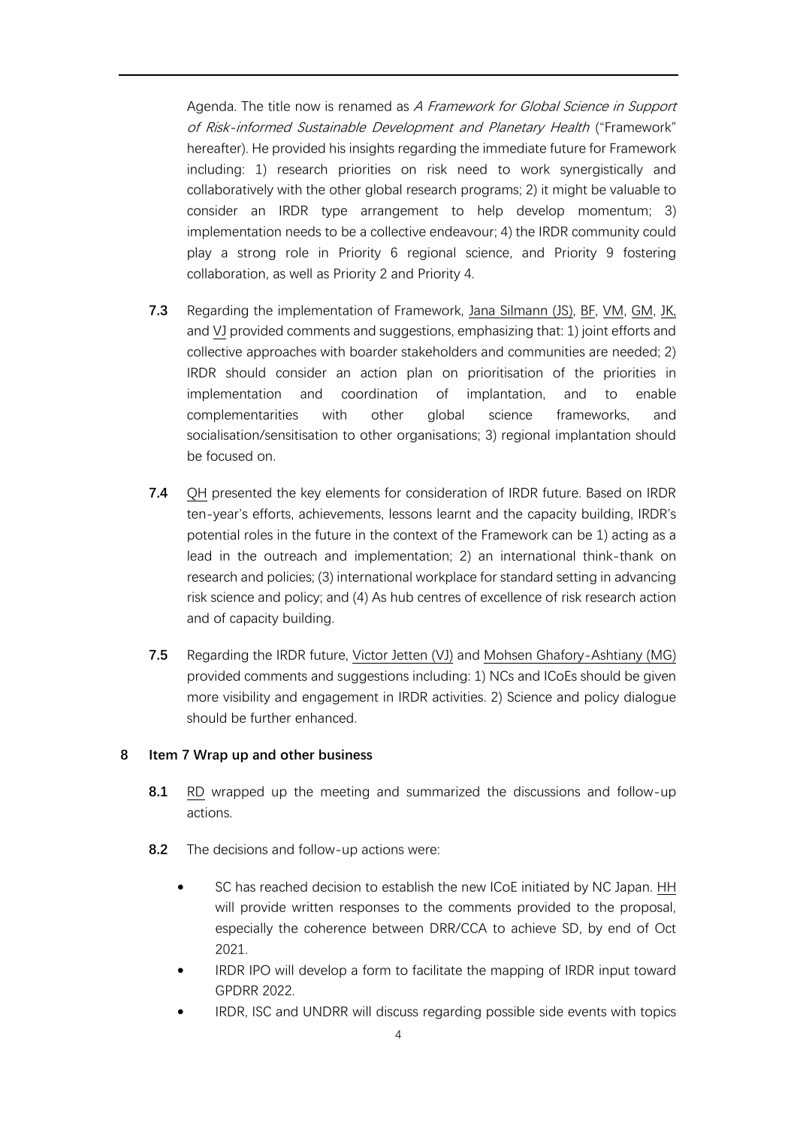Agenda. The title now is renamed as A Framework for Global Science in Support of Risk-informed Sustainable Development and Planetary Health ("Framework" hereafter). He provided his insights regarding the immediate future for Framework including: 1) research priorities on risk need to work synergistically and collaboratively with the other global research programs; 2) it might be valuable to consider an IRDR type arrangement to help develop momentum; 3) implementation needs to be a collective endeavour; 4) the IRDR community could play a strong role in Priority 6 regional science, and Priority 9 fostering collaboration, as well as Priority 2 and Priority 4.

- **7.3** Regarding the implementation of Framework, Jana Silmann (JS), BF, VM, GM, JK, and VJ provided comments and suggestions, emphasizing that: 1) joint efforts and collective approaches with boarder stakeholders and communities are needed; 2) IRDR should consider an action plan on prioritisation of the priorities in implementation and coordination of implantation, and to enable complementarities with other global science frameworks, and socialisation/sensitisation to other organisations; 3) regional implantation should be focused on.
- **7.4** QH presented the key elements for consideration of IRDR future. Based on IRDR ten-year's efforts, achievements, lessons learnt and the capacity building, IRDR's potential roles in the future in the context of the Framework can be 1) acting as a lead in the outreach and implementation; 2) an international think-thank on research and policies; (3) international workplace for standard setting in advancing risk science and policy; and (4) As hub centres of excellence of risk research action and of capacity building.
- **7.5** Regarding the IRDR future, Victor Jetten (VJ) and Mohsen Ghafory-Ashtiany (MG) provided comments and suggestions including: 1) NCs and ICoEs should be given more visibility and engagement in IRDR activities. 2) Science and policy dialogue should be further enhanced.

## **8 Item 7 Wrap up and other business**

- **8.1** RD wrapped up the meeting and summarized the discussions and follow-up actions.
- **8.2** The decisions and follow-up actions were:
	- SC has reached decision to establish the new ICoE initiated by NC Japan. HH will provide written responses to the comments provided to the proposal, especially the coherence between DRR/CCA to achieve SD, by end of Oct 2021.
	- IRDR IPO will develop a form to facilitate the mapping of IRDR input toward GPDRR 2022.
	- IRDR, ISC and UNDRR will discuss regarding possible side events with topics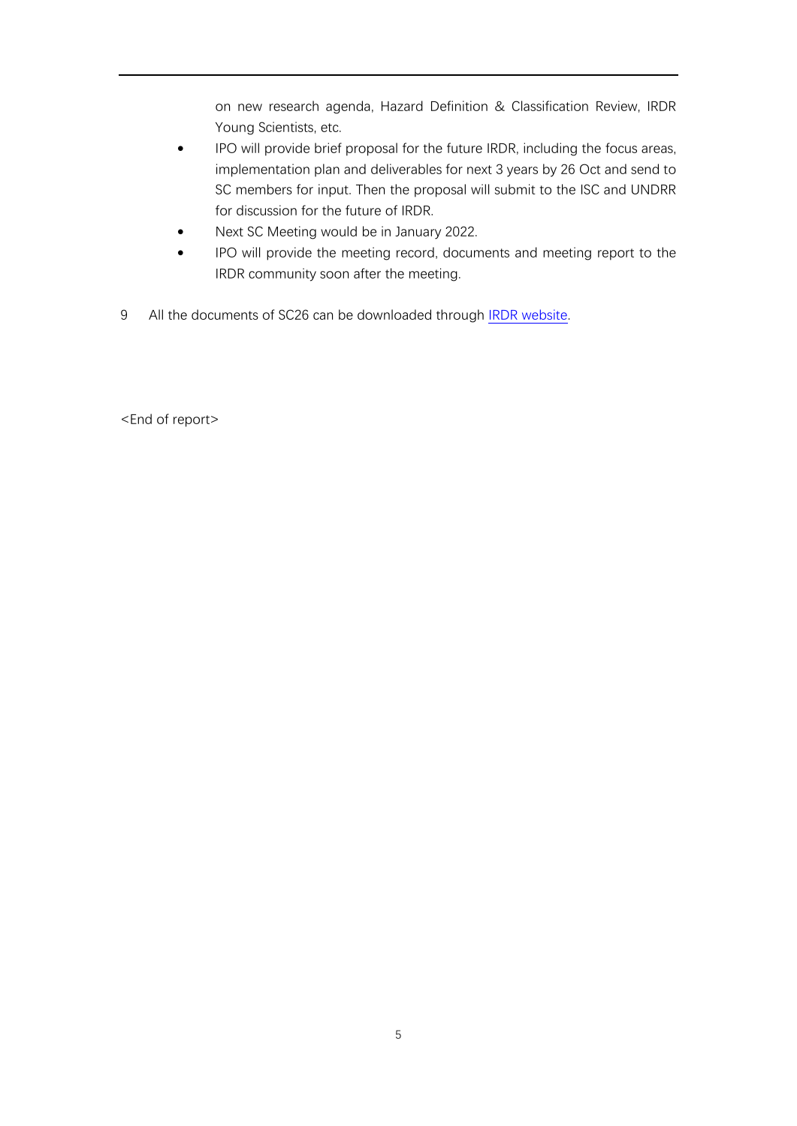on new research agenda, Hazard Definition & Classification Review, IRDR Young Scientists, etc.

- IPO will provide brief proposal for the future IRDR, including the focus areas, implementation plan and deliverables for next 3 years by 26 Oct and send to SC members for input. Then the proposal will submit to the ISC and UNDRR for discussion for the future of IRDR.
- Next SC Meeting would be in January 2022.
- IPO will provide the meeting record, documents and meeting report to the IRDR community soon after the meeting.
- 9 All the documents of SC26 can be downloaded through [IRDR website.](https://www.irdrinternational.org/irdr_community/scientific_committee/sc_meetings/879)

<End of report>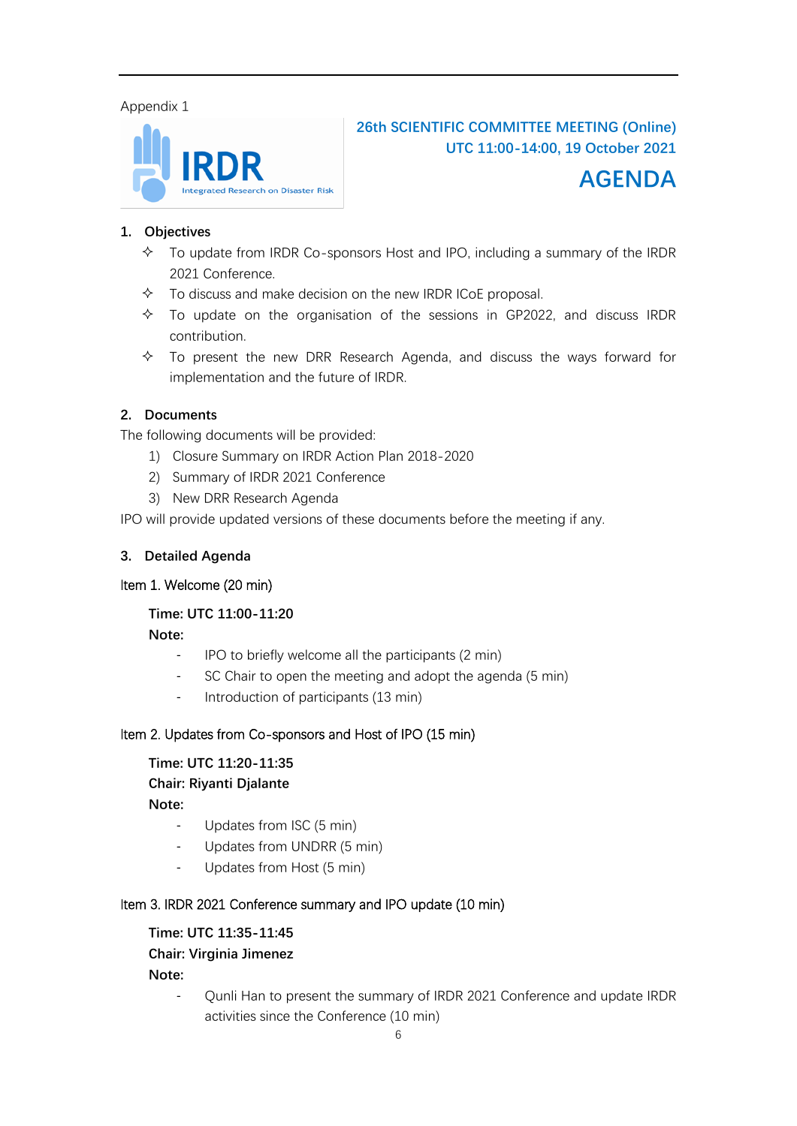## Appendix 1



**26th SCIENTIFIC COMMITTEE MEETING (Online) UTC 11:00-14:00, 19 October 2021**



## **1. Objectives**

- $\triangle$  To update from IRDR Co-sponsors Host and IPO, including a summary of the IRDR 2021 Conference.
- $\lozenge$  To discuss and make decision on the new IRDR ICoE proposal.
- $\div$  To update on the organisation of the sessions in GP2022, and discuss IRDR contribution.
- $\triangle$  To present the new DRR Research Agenda, and discuss the ways forward for implementation and the future of IRDR.

## **2. Documents**

The following documents will be provided:

- 1) Closure Summary on IRDR Action Plan 2018-2020
- 2) Summary of IRDR 2021 Conference
- 3) New DRR Research Agenda

IPO will provide updated versions of these documents before the meeting if any.

## **3. Detailed Agenda**

## Item 1. Welcome (20 min)

## **Time: UTC 11:00-11:20**

**Note:** 

- IPO to briefly welcome all the participants (2 min)
- SC Chair to open the meeting and adopt the agenda (5 min)
- Introduction of participants (13 min)

## Item 2. Updates from Co-sponsors and Host of IPO (15 min)

## **Time: UTC 11:20-11:35**

## **Chair: Riyanti Djalante**

**Note:** 

- Updates from ISC (5 min)
- Updates from UNDRR (5 min)
- Updates from Host (5 min)

## Item 3. IRDR 2021 Conference summary and IPO update (10 min)

## **Time: UTC 11:35-11:45**

## **Chair: Virginia Jimenez**

**Note:**

- Qunli Han to present the summary of IRDR 2021 Conference and update IRDR activities since the Conference (10 min)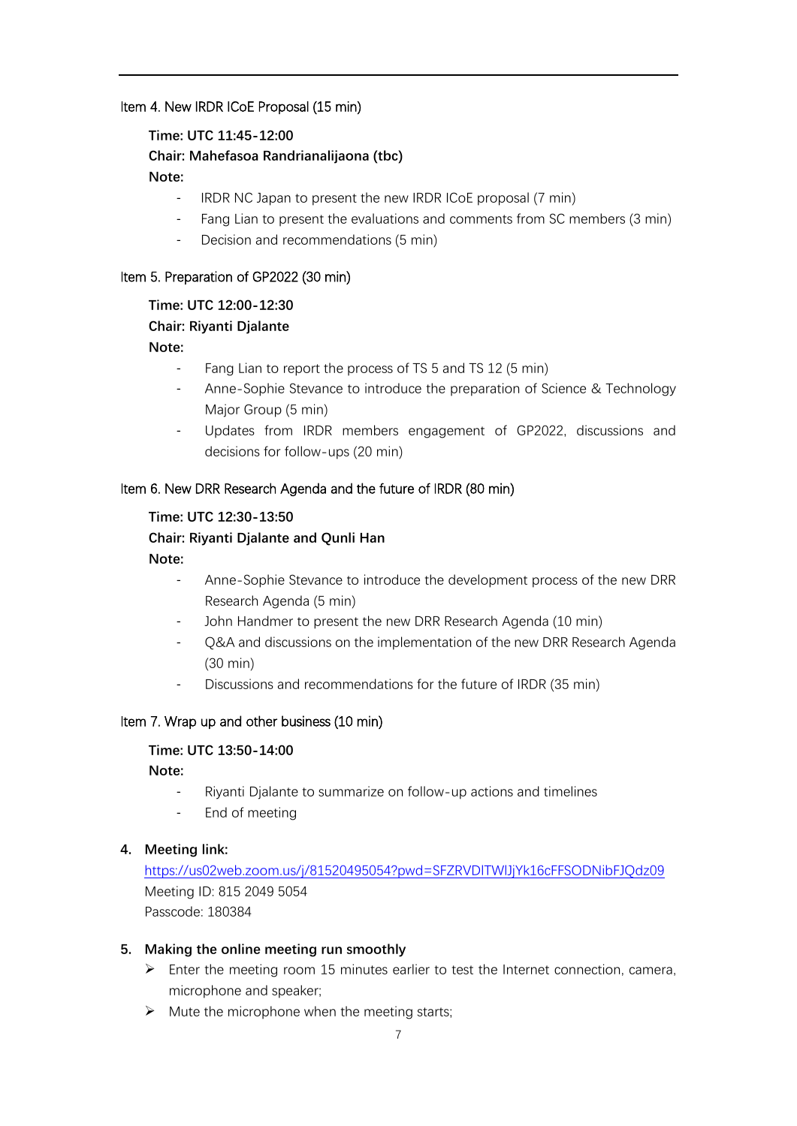## Item 4. New IRDR ICoE Proposal (15 min)

#### **Time: UTC 11:45-12:00**

## **Chair: Mahefasoa Randrianalijaona (tbc)**

#### **Note:**

- IRDR NC Japan to present the new IRDR ICoE proposal (7 min)
- Fang Lian to present the evaluations and comments from SC members (3 min)
- Decision and recommendations (5 min)

### Item 5. Preparation of GP2022 (30 min)

## **Time: UTC 12:00-12:30**

## **Chair: Riyanti Djalante**

## **Note:**

- Fang Lian to report the process of TS 5 and TS 12 (5 min)
- Anne-Sophie Stevance to introduce the preparation of Science & Technology Major Group (5 min)
- Updates from IRDR members engagement of GP2022, discussions and decisions for follow-ups (20 min)

## Item 6. New DRR Research Agenda and the future of IRDR (80 min)

## **Time: UTC 12:30-13:50**

## **Chair: Riyanti Djalante and Qunli Han**

### **Note:**

- Anne-Sophie Stevance to introduce the development process of the new DRR Research Agenda (5 min)
- John Handmer to present the new DRR Research Agenda (10 min)
- Q&A and discussions on the implementation of the new DRR Research Agenda (30 min)
- Discussions and recommendations for the future of IRDR (35 min)

## Item 7. Wrap up and other business (10 min)

## **Time: UTC 13:50-14:00**

## **Note:**

- Riyanti Djalante to summarize on follow-up actions and timelines
- End of meeting

#### **4. Meeting link:**

<https://us02web.zoom.us/j/81520495054?pwd=SFZRVDlTWlJjYk16cFFSODNibFJQdz09> Meeting ID: 815 2049 5054 Passcode: 180384

#### **5. Making the online meeting run smoothly**

- $\triangleright$  Enter the meeting room 15 minutes earlier to test the Internet connection, camera, microphone and speaker;
- $\triangleright$  Mute the microphone when the meeting starts;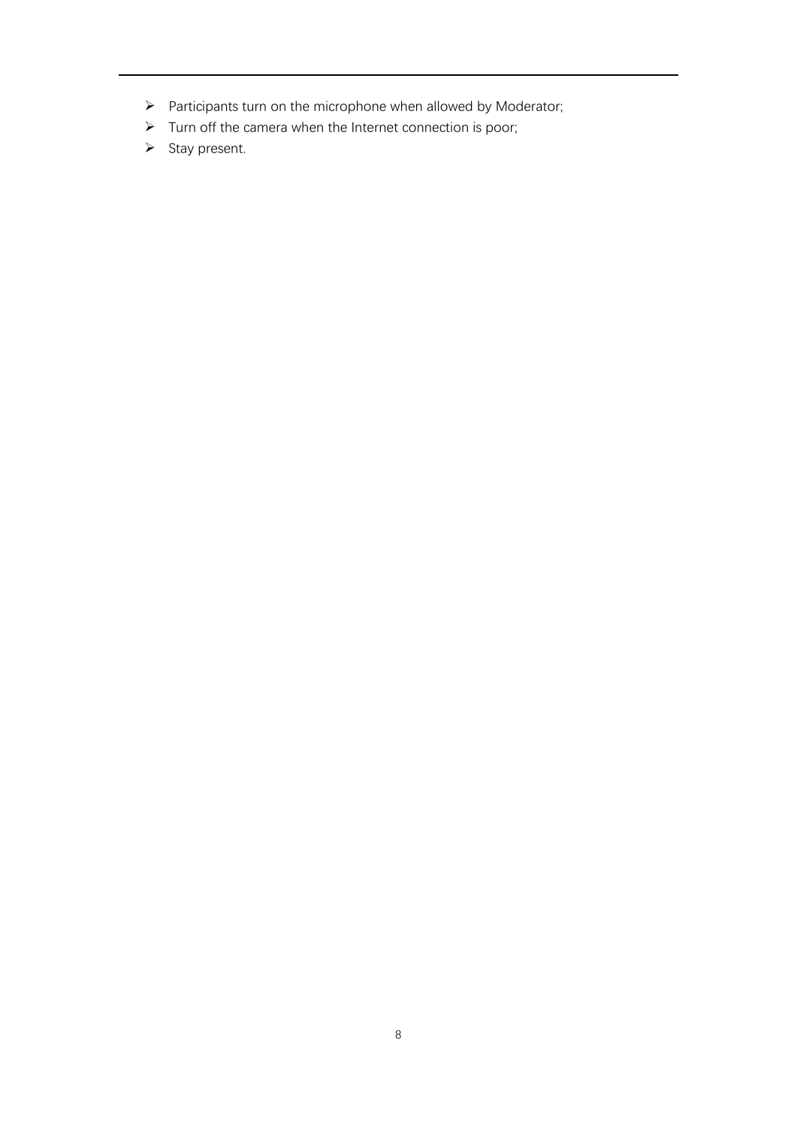- ➢ Participants turn on the microphone when allowed by Moderator;
- ➢ Turn off the camera when the Internet connection is poor;
- ➢ Stay present.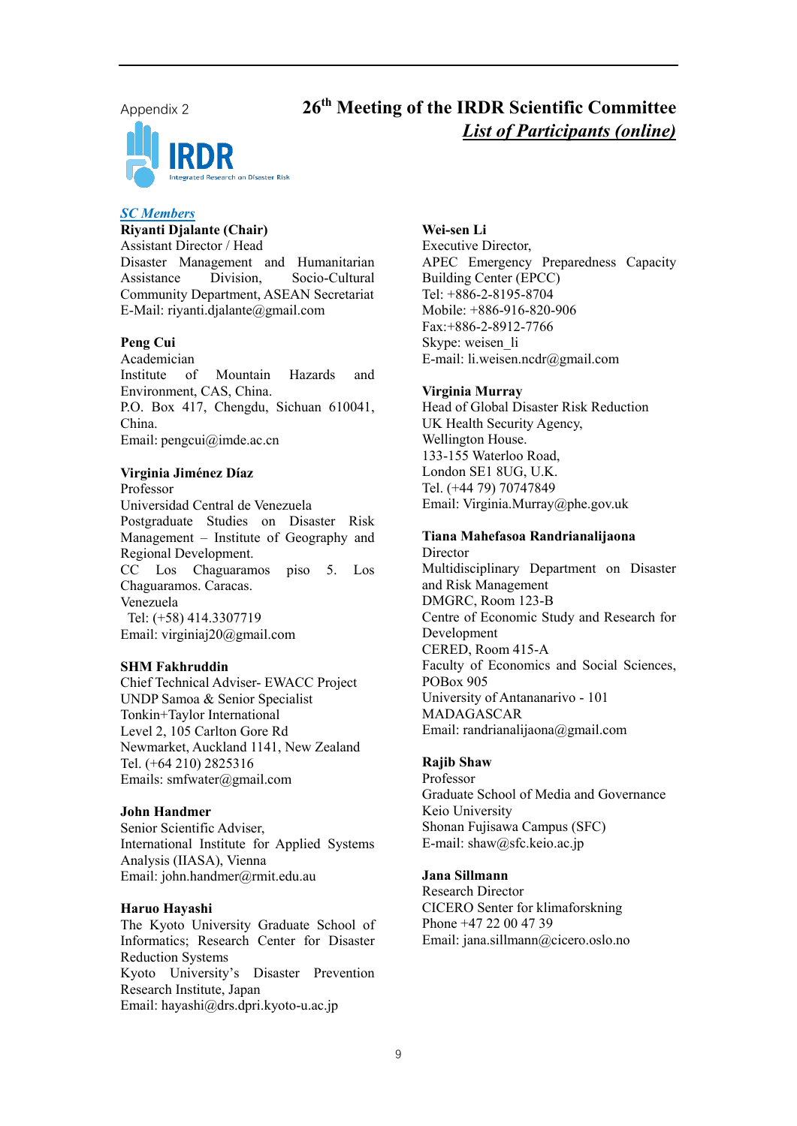



## **th Meeting of the IRDR Scientific Committee** *List of Participants (online)*

#### *SC Members*

**Riyanti Djalante (Chair)** Assistant Director / Head Disaster Management and Humanitarian Assistance Division, Socio-Cultural Community Department, ASEAN Secretariat E-Mail: riyanti.djalante@gmail.com

#### **Peng Cui**

Academician Institute of Mountain Hazards and Environment, CAS, China. P.O. Box 417, Chengdu, Sichuan 610041, China. Email: [pengcui@imde.ac.cn](mailto:pengcui@imde.ac.cn)

#### **Virginia Jiménez Díaz**

Professor Universidad Central de Venezuela Postgraduate Studies on Disaster Risk Management – Institute of Geography and Regional Development. CC Los Chaguaramos piso 5. Los Chaguaramos. Caracas. Venezuela Tel: (+58) 414.3307719 Email: virginiaj20@gmail.com

#### **SHM Fakhruddin**

Chief Technical Adviser- EWACC Project UNDP Samoa & Senior Specialist Tonkin+Taylor International Level 2, 105 Carlton Gore Rd Newmarket, Auckland 1141, New Zealand Tel. (+64 210) 2825316 Emails: smfwater@gmail.com

#### **John Handmer**

Senior Scientific Adviser, International Institute for Applied Systems Analysis (IIASA), Vienna Email: [john.handmer@rmit.edu.au](mailto:john.handmer@rmit.edu.au)

#### **Haruo Hayashi**

The Kyoto University Graduate School of Informatics; Research Center for Disaster Reduction Systems Kyoto University's Disaster Prevention Research Institute, Japan Email: hayashi@drs.dpri.kyoto-u.ac.jp

**Wei-sen Li** Executive Director, APEC Emergency Preparedness Capacity Building Center (EPCC) Tel: +886-2-8195-8704 Mobile: +886-916-820-906 Fax:+886-2-8912-7766 Skype: weisen\_li E-mail: [li.weisen.ncdr@gmail.com](mailto:li.weisen.ncdr@gmail.com)

#### **Virginia Murray**

Head of Global Disaster Risk Reduction UK Health Security Agency, Wellington House. 133-155 Waterloo Road, London SE1 8UG, U.K. Tel. (+44 79) 70747849 Email: Virginia.Murray@phe.gov.uk

#### **Tiana Mahefasoa Randrianalijaona**

**Director** Multidisciplinary Department on Disaster and Risk Management DMGRC, Room 123-B Centre of Economic Study and Research for Development CERED, Room 415-A Faculty of Economics and Social Sciences, POBox 905 University of Antananarivo - 101 MADAGASCAR Email: randrianalijaona@gmail.com

#### **Rajib Shaw**

Professor Graduate School of Media and Governance Keio University Shonan Fujisawa Campus (SFC) E-mail: shaw@sfc.keio.ac.jp

#### **Jana Sillmann**

Research Director CICERO Senter for klimaforskning Phone +47 22 00 47 39 Email: jana.sillmann@cicero.oslo.no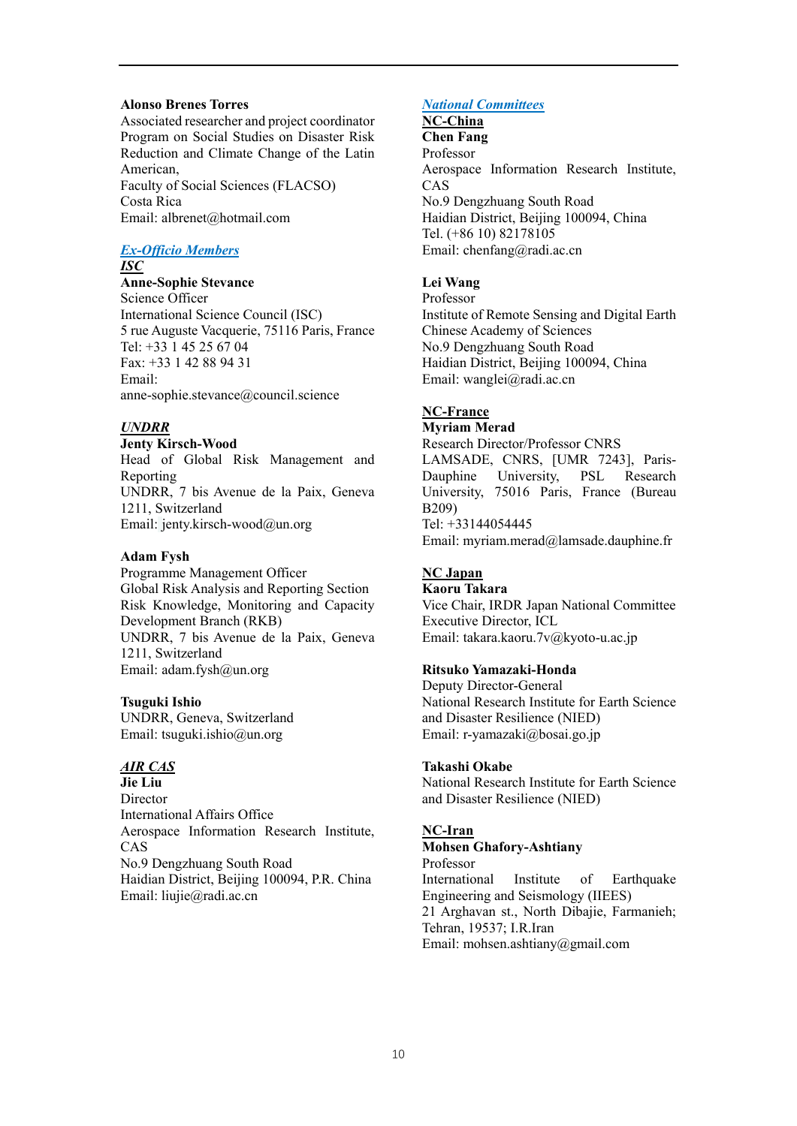#### **Alonso Brenes Torres**

Associated researcher and project coordinator Program on Social Studies on Disaster Risk Reduction and Climate Change of the Latin American, Faculty of Social Sciences (FLACSO) Costa Rica Email: albrenet@hotmail.com

## *Ex-Officio Members*

*ISC*

**Anne-Sophie Stevance** Science Officer International Science Council (ISC) 5 rue Auguste Vacquerie, 75116 Paris, France Tel: +33 1 45 25 67 04 Fax: +33 1 42 88 94 31 Email: anne-sophie.stevance@council.science

#### *UNDRR*

**Jenty Kirsch-Wood** Head of Global Risk Management and Reporting UNDRR, 7 bis Avenue de la Paix, Geneva 1211, Switzerland Email: [jenty.kirsch-wood@un.org](mailto:jenty.kirsch-wood@un.org)

#### **Adam Fysh**

Programme Management Officer Global Risk Analysis and Reporting Section Risk Knowledge, Monitoring and Capacity Development Branch (RKB) UNDRR, 7 bis Avenue de la Paix, Geneva 1211, Switzerland Email: adam.fysh@un.org

#### **Tsuguki Ishio**

UNDRR, Geneva, Switzerland Email: [tsuguki.ishio@un.org](mailto:tsuguki.ishio@un.org)

### *AIR CAS*

**Jie Liu** Director International Affairs Office Aerospace Information Research Institute, CAS No.9 Dengzhuang South Road Haidian District, Beijing 100094, P.R. China Email: liujie@radi.ac.cn

#### *National Committees*

## **NC-China**

**Chen Fang** Professor Aerospace Information Research Institute, CAS No.9 Dengzhuang South Road Haidian District, Beijing 100094, China Tel. (+86 10) 82178105 Email: [chenfang@radi.ac.cn](mailto:chenfang@radi.ac.cn)

## **Lei Wang**

Professor Institute of Remote Sensing and Digital Earth Chinese Academy of Sciences No.9 Dengzhuang South Road Haidian District, Beijing 100094, China Email: [wanglei@radi.ac.cn](mailto:wanglei@radi.ac.cn)

## **NC-France**

#### **Myriam Merad**

Research Director/Professor CNRS LAMSADE, CNRS, [UMR 7243], Paris-Dauphine University, PSL Research University, 75016 Paris, France (Bureau B209) Tel: +33144054445 Email: myriam.merad@lamsade.dauphine.fr

## **NC Japan**

**Kaoru Takara** Vice Chair, IRDR Japan National Committee Executive Director, ICL Email: takara.kaoru.7v@kyoto-u.ac.jp

#### **Ritsuko Yamazaki-Honda**

Deputy Director-General National Research Institute for Earth Science and Disaster Resilience (NIED) Email: [r-yamazaki@bosai.go.jp](mailto:r-yamazaki@bosai.go.jp)

#### **Takashi Okabe**

National Research Institute for Earth Science and Disaster Resilience (NIED)

#### **NC-Iran**

## **Mohsen Ghafory-Ashtiany** Professor

International Institute of Earthquake Engineering and Seismology (IIEES) 21 Arghavan st., North Dibajie, Farmanieh; Tehran, 19537; I.R.Iran Email: [mohsen.ashtiany@gmail.com](mailto:mohsen.ashtiany@gmail.com)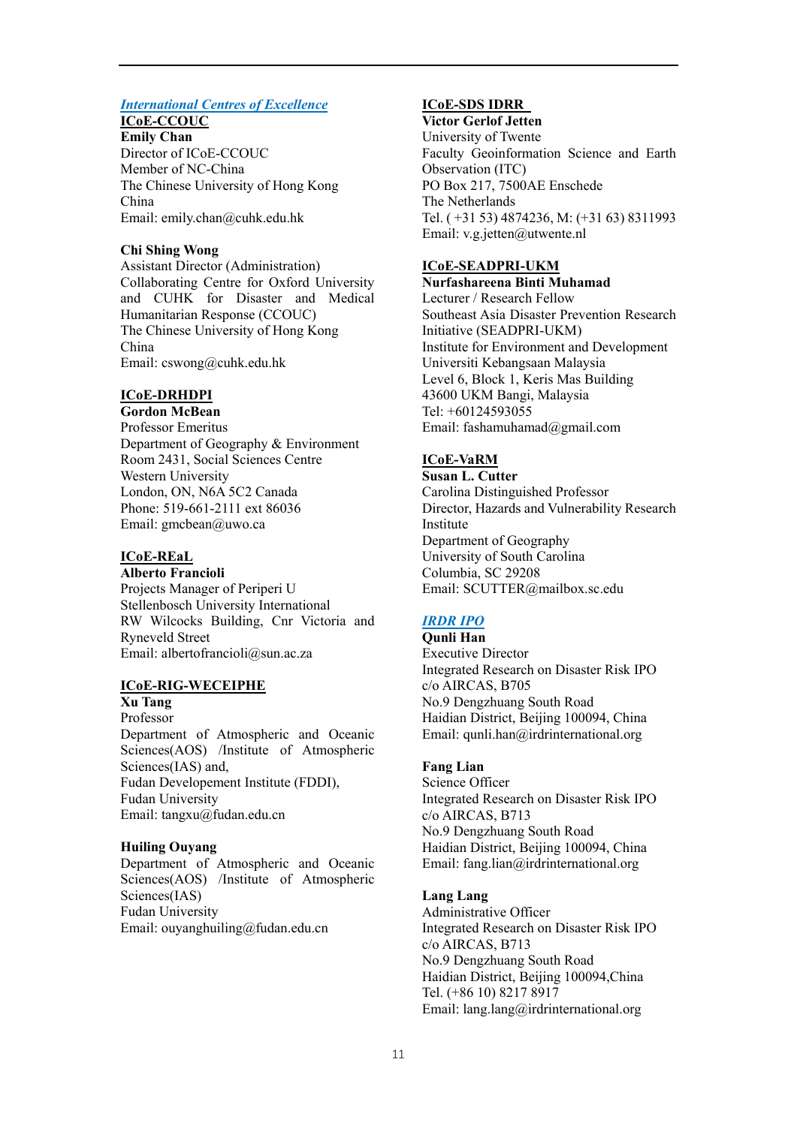## *International Centres of Excellence*

## **ICoE-CCOUC**

**Emily Chan** Director of ICoE-CCOUC Member of NC-China The Chinese University of Hong Kong China Email: emily.chan@cuhk.edu.hk

### **Chi Shing Wong**

Assistant Director (Administration) Collaborating Centre for Oxford University and CUHK for Disaster and Medical Humanitarian Response (CCOUC) The Chinese University of Hong Kong China Email[: cswong@cuhk.edu.hk](mailto:cswong@cuhk.edu.hk)

## **ICoE-DRHDPI**

**Gordon McBean** Professor Emeritus Department of Geography & Environment Room 2431, Social Sciences Centre Western University London, ON, N6A 5C2 Canada Phone: 519-661-2111 ext 86036 Email: gmcbean@uwo.ca

## **ICoE-REaL**

**Alberto Francioli**

Projects Manager of Periperi U Stellenbosch University International RW Wilcocks Building, Cnr Victoria and Ryneveld Street Email: albertofrancioli@sun.ac.za

## **ICoE-RIG-WECEIPHE**

**Xu Tang** Professor Department of Atmospheric and Oceanic Sciences(AOS) /Institute of Atmospheric Sciences(IAS) and, Fudan Developement Institute (FDDI), Fudan University Email: tangxu@fudan.edu.cn

## **Huiling Ouyang**

Department of Atmospheric and Oceanic Sciences(AOS) /Institute of Atmospheric Sciences(IAS) Fudan University Email: ouyanghuiling@fudan.edu.cn

## **ICoE-SDS IDRR**

**Victor Gerlof Jetten**  University of Twente Faculty Geoinformation Science and Earth Observation (ITC) PO Box 217, 7500AE Enschede The Netherlands Tel. ( +31 53) 4874236, M: (+31 63) 8311993 Email: [v.g.jetten@utwente.nl](mailto:v.g.jetten@utwente.nl)

## **ICoE-SEADPRI-UKM**

**Nurfashareena Binti Muhamad** Lecturer / Research Fellow Southeast Asia Disaster Prevention Research Initiative (SEADPRI-UKM) Institute for Environment and Development Universiti Kebangsaan Malaysia Level 6, Block 1, Keris Mas Building 43600 UKM Bangi, Malaysia Tel: +60124593055 Email: fashamuhamad@gmail.com

## **ICoE-VaRM**

**Susan L. Cutter** Carolina Distinguished Professor Director, Hazards and Vulnerability Research Institute Department of Geography University of South Carolina Columbia, SC 29208 Email: SCUTTER@mailbox.sc.edu

## *IRDR IPO*

**Qunli Han** Executive Director Integrated Research on Disaster Risk IPO c/o AIRCAS, B705 No.9 Dengzhuang South Road Haidian District, Beijing 100094, China Email: qunli.han@irdrinternational.org

#### **Fang Lian**

Science Officer Integrated Research on Disaster Risk IPO c/o AIRCAS, B713 No.9 Dengzhuang South Road Haidian District, Beijing 100094, China Email: fang.lia[n@irdrinternational.org](mailto:lucy.lu@irdrinternational.org)

## **Lang Lang**

Administrative Officer Integrated Research on Disaster Risk IPO c/o AIRCAS, B713 No.9 Dengzhuang South Road Haidian District, Beijing 100094,China Tel. (+86 10) 8217 8917 Email: lang.lan[g@irdrinternational.org](mailto:lucy.lu@irdrinternational.org)